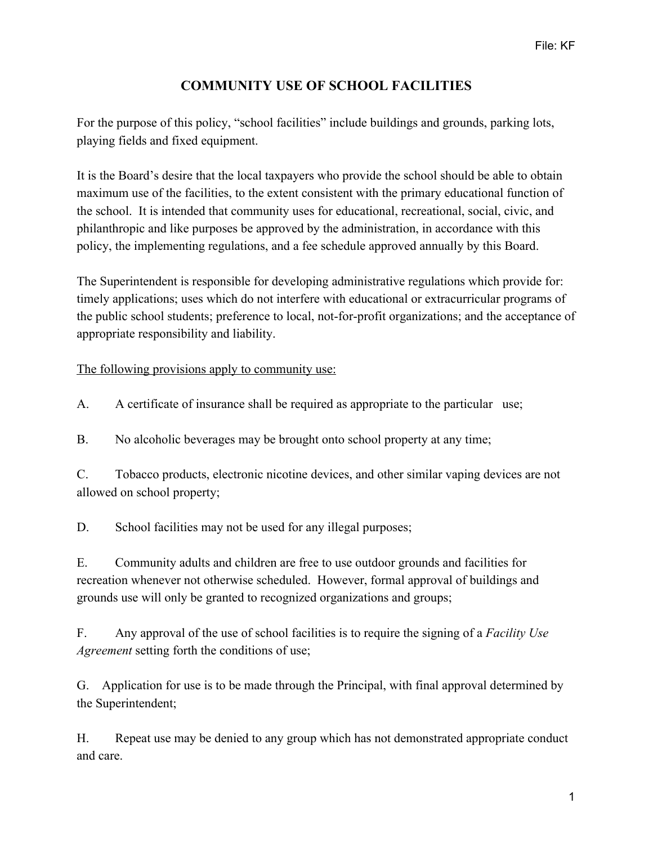## **COMMUNITY USE OF SCHOOL FACILITIES**

For the purpose of this policy, "school facilities" include buildings and grounds, parking lots, playing fields and fixed equipment.

It is the Board's desire that the local taxpayers who provide the school should be able to obtain maximum use of the facilities, to the extent consistent with the primary educational function of the school. It is intended that community uses for educational, recreational, social, civic, and philanthropic and like purposes be approved by the administration, in accordance with this policy, the implementing regulations, and a fee schedule approved annually by this Board.

The Superintendent is responsible for developing administrative regulations which provide for: timely applications; uses which do not interfere with educational or extracurricular programs of the public school students; preference to local, not-for-profit organizations; and the acceptance of appropriate responsibility and liability.

The following provisions apply to community use:

A. A certificate of insurance shall be required as appropriate to the particular use;

B. No alcoholic beverages may be brought onto school property at any time;

C. Tobacco products, electronic nicotine devices, and other similar vaping devices are not allowed on school property;

D. School facilities may not be used for any illegal purposes;

E. Community adults and children are free to use outdoor grounds and facilities for recreation whenever not otherwise scheduled. However, formal approval of buildings and grounds use will only be granted to recognized organizations and groups;

F. Any approval of the use of school facilities is to require the signing of a *Facility Use Agreement* setting forth the conditions of use;

G. Application for use is to be made through the Principal, with final approval determined by the Superintendent;

H. Repeat use may be denied to any group which has not demonstrated appropriate conduct and care.